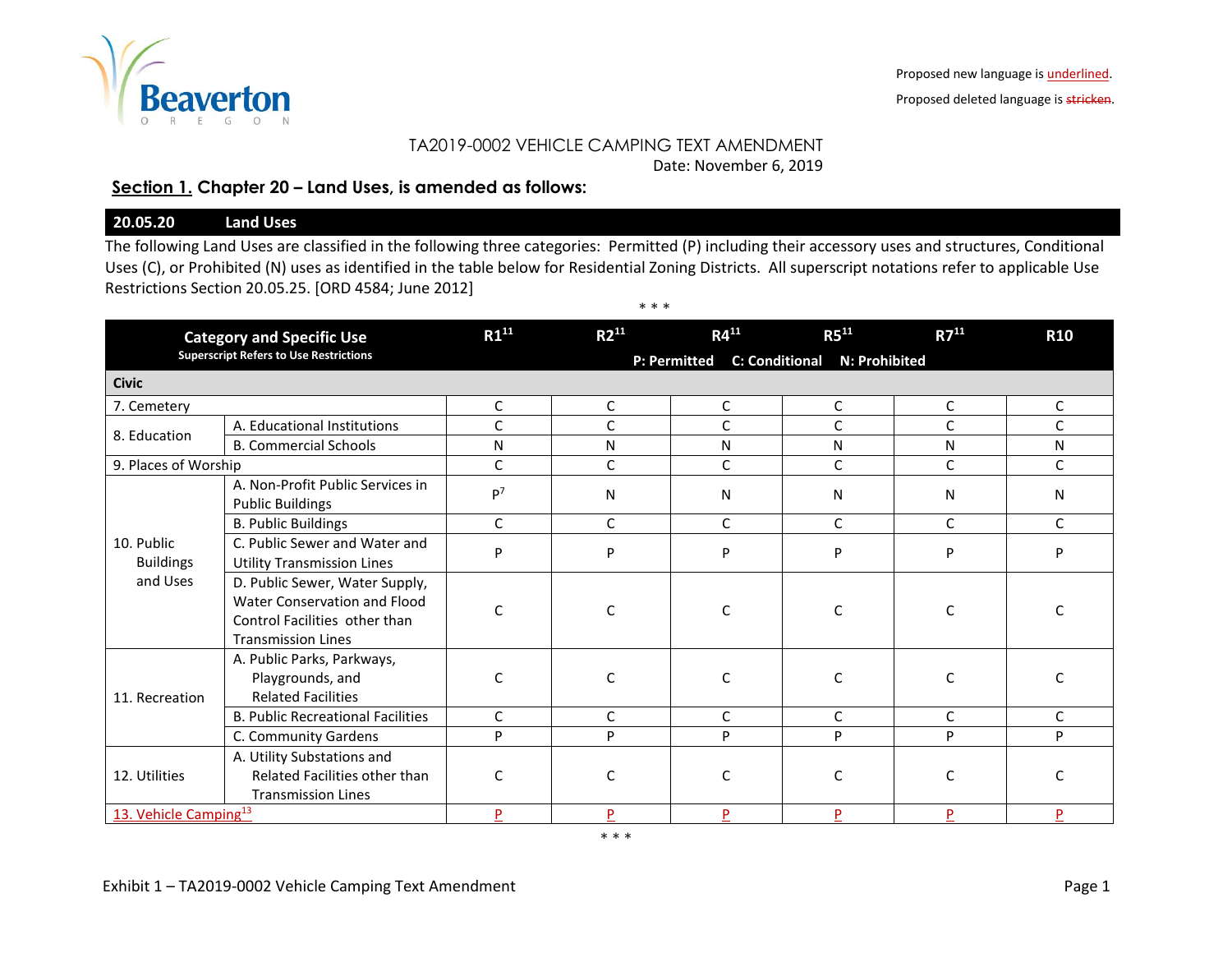

Proposed deleted language is stricken.

## TA2019-0002 VEHICLE CAMPING TEXT AMENDMENT

Date: November 6, 2019

## **Section 1. Chapter 20 – Land Uses, is amended as follows:**

## **20.05.20 Land Uses**

The following Land Uses are classified in the following three categories: Permitted (P) including their accessory uses and structures, Conditional Uses (C), or Prohibited (N) uses as identified in the table below for Residential Zoning Districts. All superscript notations refer to applicable Use Restrictions Section 20.05.25. [ORD 4584; June 2012]

| <b>Category and Specific Use</b><br><b>Superscript Refers to Use Restrictions</b> |                                                                                                                              | $R1^{11}$                                              | $R2^{11}$ | $R4^{11}$   | $R5^{11}$    | $R7^{11}$    | <b>R10</b>   |  |  |
|-----------------------------------------------------------------------------------|------------------------------------------------------------------------------------------------------------------------------|--------------------------------------------------------|-----------|-------------|--------------|--------------|--------------|--|--|
|                                                                                   |                                                                                                                              | P: Permitted<br><b>C: Conditional</b><br>N: Prohibited |           |             |              |              |              |  |  |
| <b>Civic</b>                                                                      |                                                                                                                              |                                                        |           |             |              |              |              |  |  |
| 7. Cemetery                                                                       |                                                                                                                              | C                                                      | C         | C           | $\mathsf{C}$ | C            | C            |  |  |
| 8. Education                                                                      | A. Educational Institutions                                                                                                  | C                                                      | C         | C           | $\mathsf{C}$ | C            | C            |  |  |
|                                                                                   | <b>B. Commercial Schools</b>                                                                                                 | N                                                      | N         | N           | N            | N            | N            |  |  |
| 9. Places of Worship                                                              |                                                                                                                              | $\mathsf{C}$                                           | C         | $\mathsf C$ | $\mathsf C$  | C            | C            |  |  |
|                                                                                   | A. Non-Profit Public Services in<br><b>Public Buildings</b>                                                                  | P <sup>7</sup>                                         | N         | N           | N            | $\mathsf{N}$ | N            |  |  |
|                                                                                   | <b>B. Public Buildings</b>                                                                                                   | C                                                      | C         | C           | $\mathsf{C}$ | $\mathsf{C}$ | C            |  |  |
| 10. Public<br><b>Buildings</b><br>and Uses                                        | C. Public Sewer and Water and<br><b>Utility Transmission Lines</b>                                                           | P                                                      | P         | P           | P            | P            | P            |  |  |
|                                                                                   | D. Public Sewer, Water Supply,<br>Water Conservation and Flood<br>Control Facilities other than<br><b>Transmission Lines</b> | C                                                      | C         | C           | C            | C            |              |  |  |
| 11. Recreation                                                                    | A. Public Parks, Parkways,<br>Playgrounds, and<br><b>Related Facilities</b>                                                  | C                                                      | C         | C           | C            | C            |              |  |  |
|                                                                                   | <b>B. Public Recreational Facilities</b>                                                                                     | $\mathsf{C}$                                           | C         | C           | $\mathsf{C}$ | $\mathsf{C}$ | $\mathsf{C}$ |  |  |
|                                                                                   | C. Community Gardens                                                                                                         | P                                                      | P         | P           | P            | P            | P            |  |  |
| 12. Utilities                                                                     | A. Utility Substations and<br>Related Facilities other than<br><b>Transmission Lines</b>                                     | C                                                      | C         | C           | C            | C            | C            |  |  |
| 13. Vehicle Camping <sup>13</sup>                                                 |                                                                                                                              | P                                                      | P         | P           | P            | P            |              |  |  |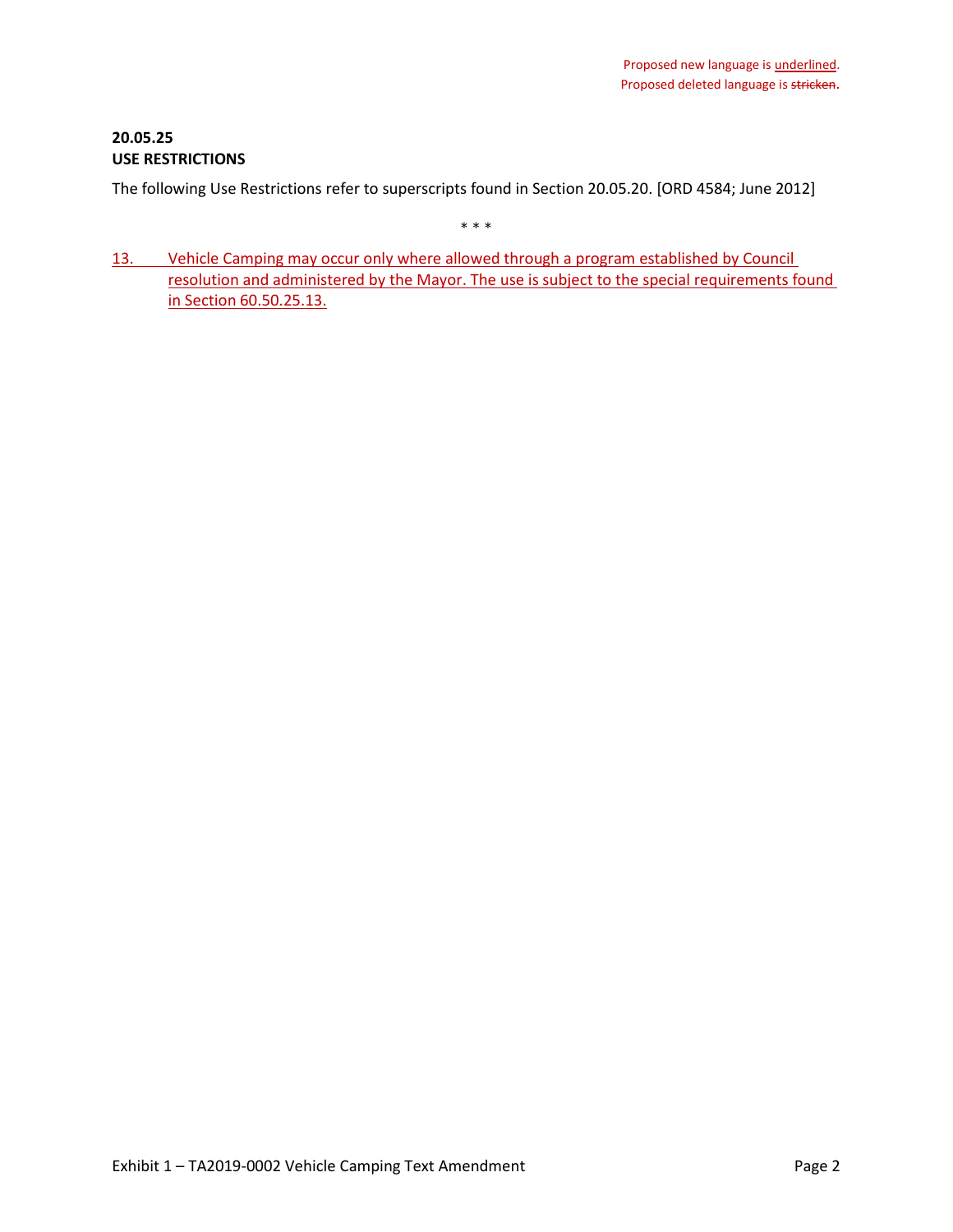# **20.05.25 USE RESTRICTIONS**

The following Use Restrictions refer to superscripts found in Section 20.05.20. [ORD 4584; June 2012]

\* \* \*

13. Vehicle Camping may occur only where allowed through a program established by Council resolution and administered by the Mayor. The use is subject to the special requirements found in Section 60.50.25.13.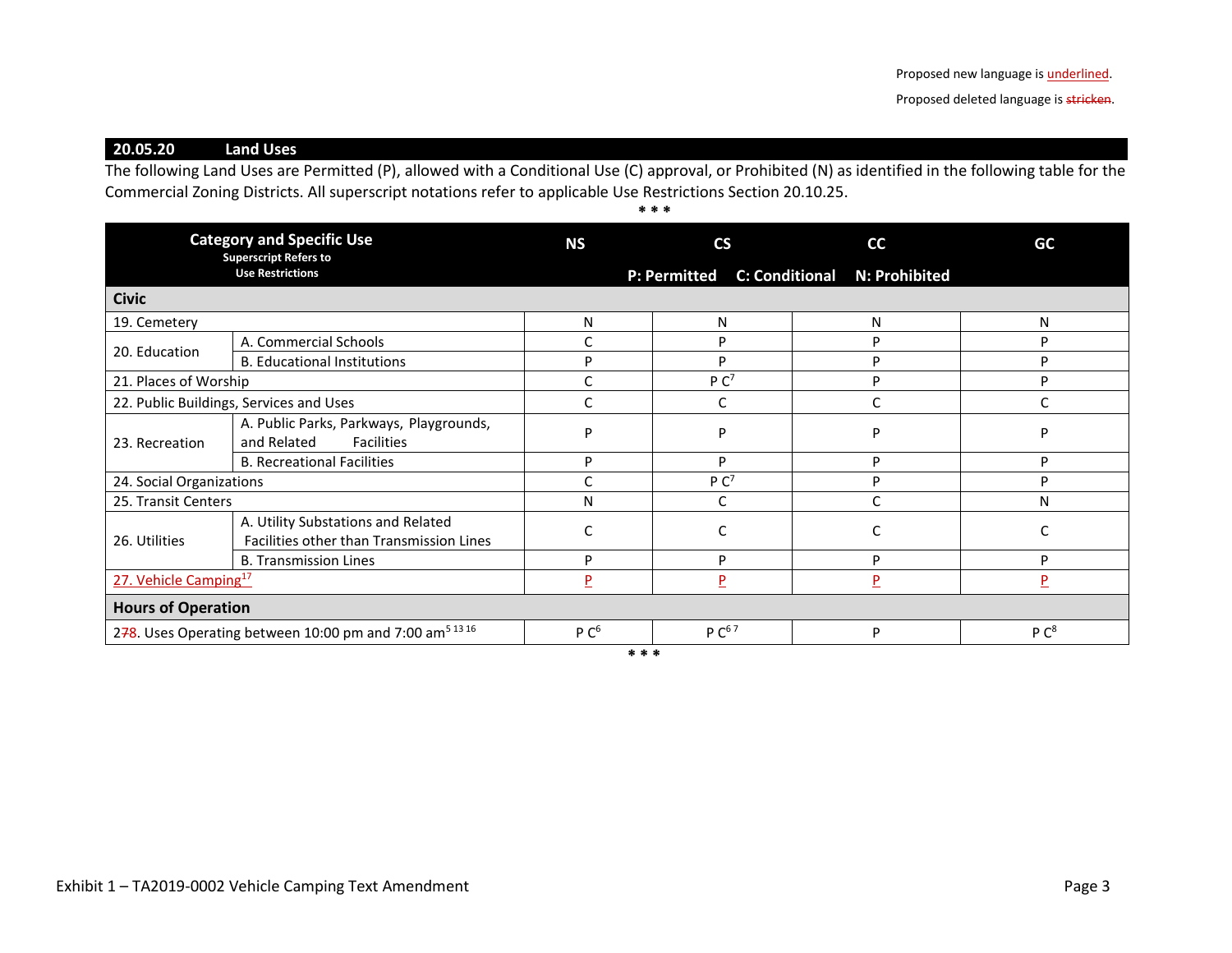Proposed deleted language is stricken.

**20.05.20 Land Uses**

The following Land Uses are Permitted (P), allowed with a Conditional Use (C) approval, or Prohibited (N) as identified in the following table for the Commercial Zoning Districts. All superscript notations refer to applicable Use Restrictions Section 20.10.25.

**\* \* \***

| <b>Category and Specific Use</b><br><b>Superscript Refers to</b>  |                                                                                | <b>NS</b>        | $\mathsf{CS}\phantom{0}$ | cc                           | GC               |
|-------------------------------------------------------------------|--------------------------------------------------------------------------------|------------------|--------------------------|------------------------------|------------------|
|                                                                   | <b>Use Restrictions</b>                                                        |                  | <b>P: Permitted</b>      | C: Conditional N: Prohibited |                  |
| <b>Civic</b>                                                      |                                                                                |                  |                          |                              |                  |
| 19. Cemetery                                                      |                                                                                | N                | N                        | N                            | N                |
| 20. Education                                                     | A. Commercial Schools                                                          |                  | D                        | P                            | D                |
|                                                                   | <b>B. Educational Institutions</b>                                             | D                | D                        | P                            | D                |
| 21. Places of Worship                                             |                                                                                |                  | P C <sup>7</sup>         | P                            | D                |
| 22. Public Buildings, Services and Uses                           |                                                                                |                  |                          | C                            |                  |
| 23. Recreation                                                    | A. Public Parks, Parkways, Playgrounds,<br>and Related<br><b>Facilities</b>    | D                | D                        | D                            | D                |
|                                                                   | <b>B. Recreational Facilities</b>                                              | P                | P                        | P                            | Þ                |
| 24. Social Organizations                                          |                                                                                |                  | P C <sup>7</sup>         | P                            | D                |
| 25. Transit Centers                                               |                                                                                | Ν                |                          | Ċ                            | N                |
| 26. Utilities                                                     | A. Utility Substations and Related<br>Facilities other than Transmission Lines |                  |                          | C                            |                  |
|                                                                   | <b>B. Transmission Lines</b>                                                   | Þ                | D                        | P                            | D                |
| 27. Vehicle Camping <sup>17</sup>                                 |                                                                                | P                | $\overline{P}$<br>P      |                              | P                |
| <b>Hours of Operation</b>                                         |                                                                                |                  |                          |                              |                  |
| 278. Uses Operating between 10:00 pm and 7:00 am <sup>51316</sup> |                                                                                | P C <sup>6</sup> | $P C^{67}$               | P                            | P C <sup>8</sup> |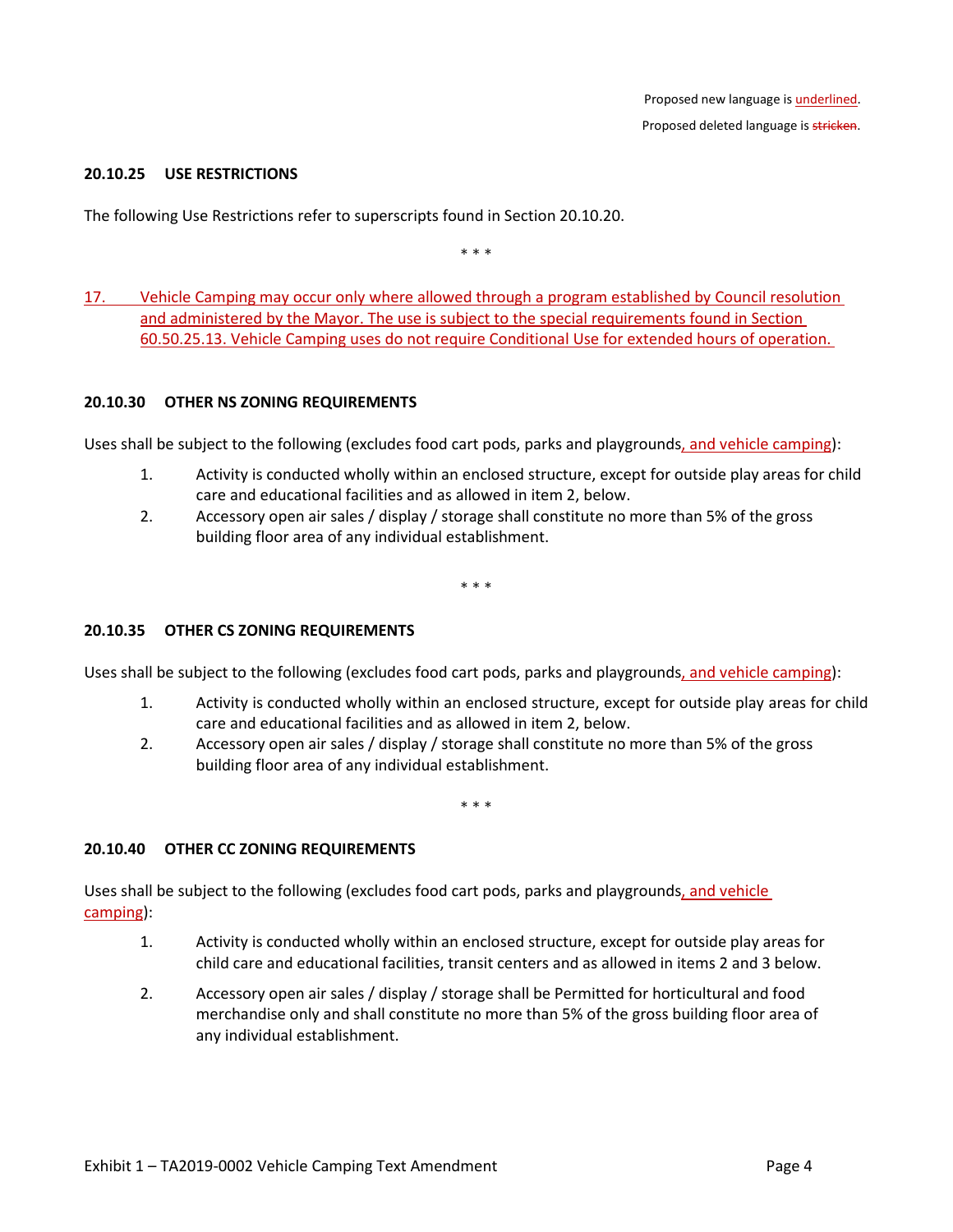#### **20.10.25 USE RESTRICTIONS**

The following Use Restrictions refer to superscripts found in Section 20.10.20.

\* \* \*

17. Vehicle Camping may occur only where allowed through a program established by Council resolution and administered by the Mayor. The use is subject to the special requirements found in Section 60.50.25.13. Vehicle Camping uses do not require Conditional Use for extended hours of operation.

#### **20.10.30 OTHER NS ZONING REQUIREMENTS**

Uses shall be subject to the following (excludes food cart pods, parks and playgrounds, and vehicle camping):

- 1. Activity is conducted wholly within an enclosed structure, except for outside play areas for child care and educational facilities and as allowed in item 2, below.
- 2. Accessory open air sales / display / storage shall constitute no more than 5% of the gross building floor area of any individual establishment.

\* \* \*

#### **20.10.35 OTHER CS ZONING REQUIREMENTS**

Uses shall be subject to the following (excludes food cart pods, parks and playgrounds, and vehicle camping):

- 1. Activity is conducted wholly within an enclosed structure, except for outside play areas for child care and educational facilities and as allowed in item 2, below.
- 2. Accessory open air sales / display / storage shall constitute no more than 5% of the gross building floor area of any individual establishment.

\* \* \*

#### **20.10.40 OTHER CC ZONING REQUIREMENTS**

Uses shall be subject to the following (excludes food cart pods, parks and playgrounds, and vehicle camping):

- 1. Activity is conducted wholly within an enclosed structure, except for outside play areas for child care and educational facilities, transit centers and as allowed in items 2 and 3 below.
- 2. Accessory open air sales / display / storage shall be Permitted for horticultural and food merchandise only and shall constitute no more than 5% of the gross building floor area of any individual establishment.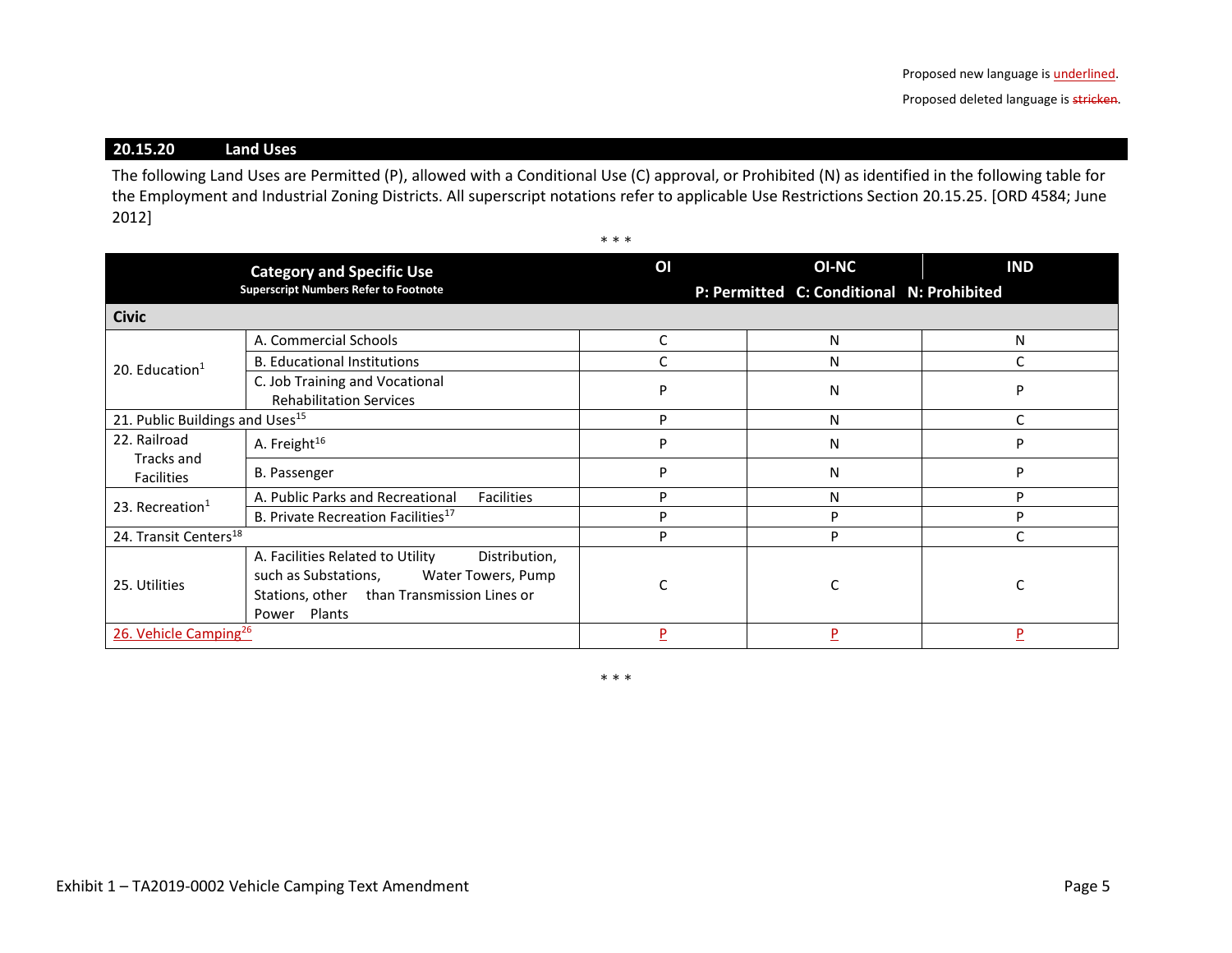# **20.15.20 Land Uses**

The following Land Uses are Permitted (P), allowed with a Conditional Use (C) approval, or Prohibited (N) as identified in the following table for the Employment and Industrial Zoning Districts. All superscript notations refer to applicable Use Restrictions Section 20.15.25. [ORD 4584; June 2012]

\* \* \*

|                                             | <b>Category and Specific Use</b><br><b>Superscript Numbers Refer to Footnote</b>                                                                                 | OI | <b>OI-NC</b><br>P: Permitted C: Conditional N: Prohibited | <b>IND</b> |
|---------------------------------------------|------------------------------------------------------------------------------------------------------------------------------------------------------------------|----|-----------------------------------------------------------|------------|
| <b>Civic</b>                                |                                                                                                                                                                  |    |                                                           |            |
|                                             | A. Commercial Schools                                                                                                                                            | C  | N                                                         | N          |
| 20. Education $1$                           | <b>B. Educational Institutions</b>                                                                                                                               |    | N                                                         |            |
|                                             | C. Job Training and Vocational<br><b>Rehabilitation Services</b>                                                                                                 | P  | N                                                         | D          |
| 21. Public Buildings and Uses <sup>15</sup> |                                                                                                                                                                  | P  | N                                                         |            |
| 22. Railroad<br>Tracks and                  | A. Freight <sup>16</sup>                                                                                                                                         | P  | N                                                         | D          |
| <b>Facilities</b>                           | <b>B.</b> Passenger                                                                                                                                              | р  | N                                                         | D          |
| 23. Recreation $1$                          | A. Public Parks and Recreational<br><b>Facilities</b>                                                                                                            | D  | N                                                         | D          |
|                                             | B. Private Recreation Facilities <sup>17</sup>                                                                                                                   | P  | D                                                         | P          |
| 24. Transit Centers <sup>18</sup>           |                                                                                                                                                                  | p  | P                                                         |            |
| 25. Utilities                               | A. Facilities Related to Utility<br>Distribution,<br>such as Substations,<br>Water Towers, Pump<br>Stations, other than Transmission Lines or<br>Plants<br>Power |    |                                                           |            |
| 26. Vehicle Camping <sup>26</sup>           |                                                                                                                                                                  | D  | P                                                         | Þ          |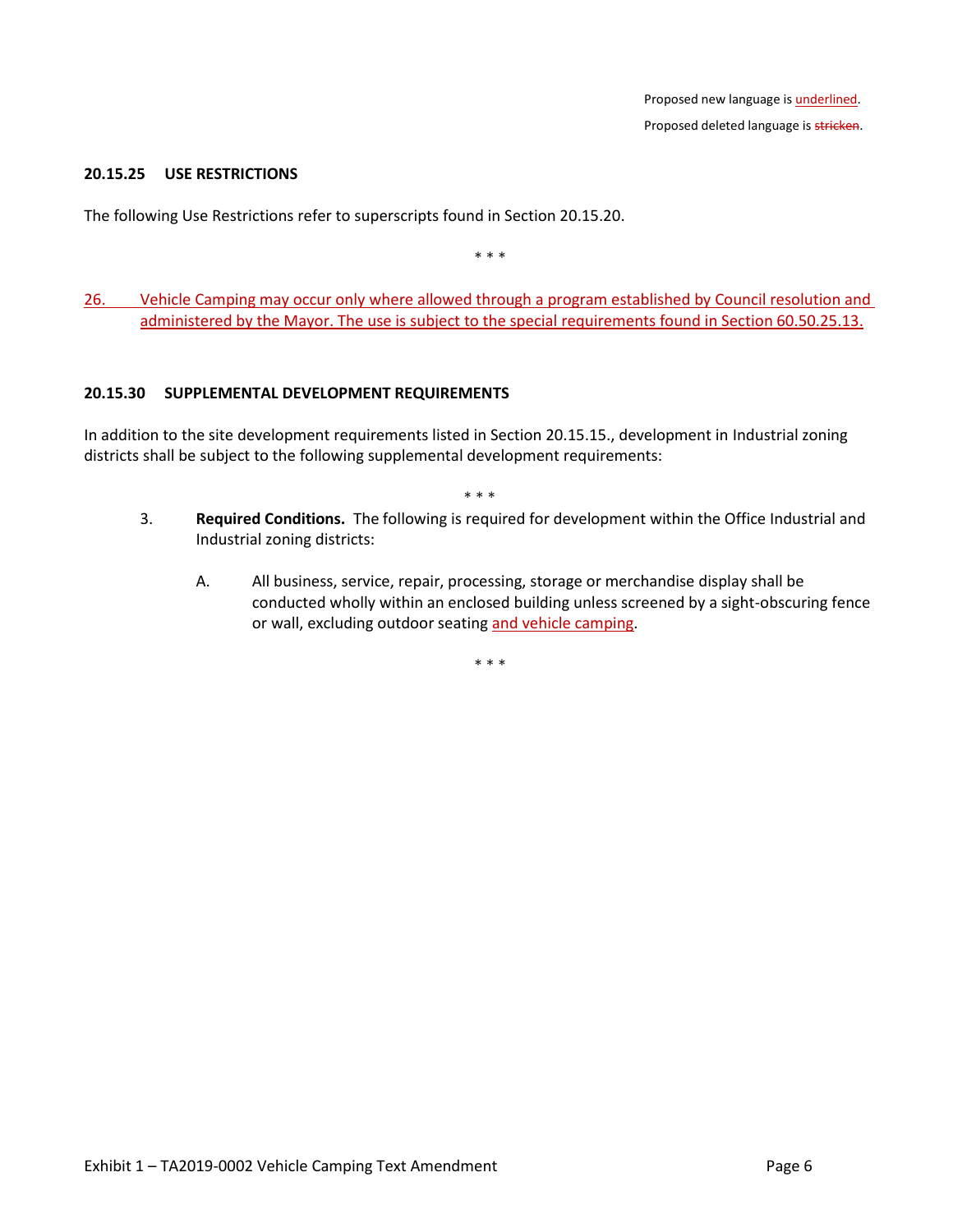### **20.15.25 USE RESTRICTIONS**

The following Use Restrictions refer to superscripts found in Section 20.15.20.

\* \* \*

26. Vehicle Camping may occur only where allowed through a program established by Council resolution and administered by the Mayor. The use is subject to the special requirements found in Section 60.50.25.13.

#### **20.15.30 SUPPLEMENTAL DEVELOPMENT REQUIREMENTS**

In addition to the site development requirements listed in Section 20.15.15., development in Industrial zoning districts shall be subject to the following supplemental development requirements:

\* \* \*

- 3. **Required Conditions.** The following is required for development within the Office Industrial and Industrial zoning districts:
	- A. All business, service, repair, processing, storage or merchandise display shall be conducted wholly within an enclosed building unless screened by a sight-obscuring fence or wall, excluding outdoor seating and vehicle camping.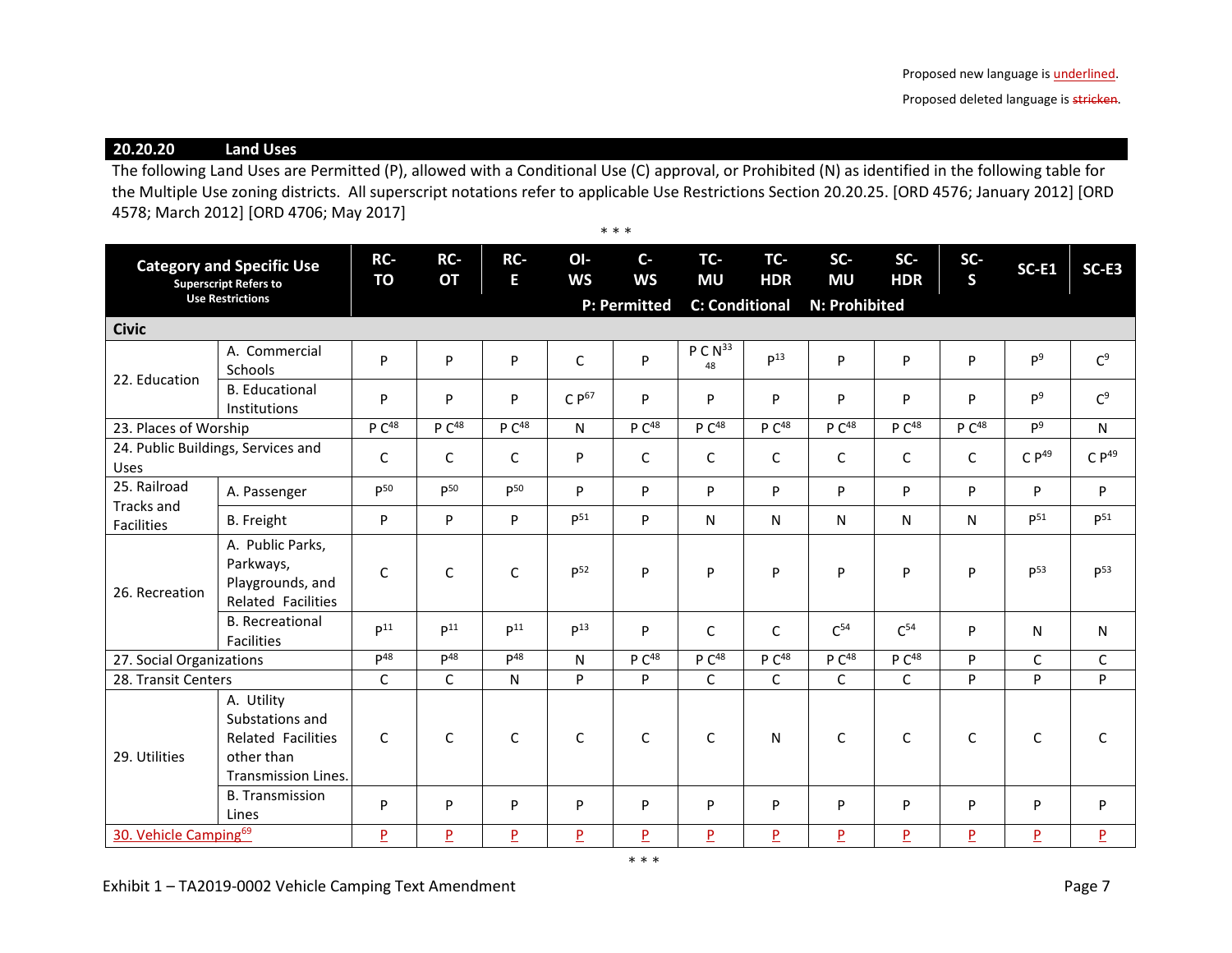Proposed deleted language is stricken.

**20.20.20 Land Uses**

The following Land Uses are Permitted (P), allowed with a Conditional Use (C) approval, or Prohibited (N) as identified in the following table for the Multiple Use zoning districts. All superscript notations refer to applicable Use Restrictions Section 20.20.25. [ORD 4576; January 2012] [ORD 4578; March 2012] [ORD 4706; May 2017] \* \* \*

| <b>Category and Specific Use</b><br><b>Superscript Refers to</b><br><b>Use Restrictions</b> |                                                                                                        | RC-<br>TO         | RC-<br><b>OT</b>  | RC-<br>E.         | OI-<br><b>WS</b>    | $C -$<br><b>WS</b> | TC-<br><b>MU</b>          | TC-<br><b>HDR</b>                      | SC-<br><b>MU</b>  | $SC-$<br><b>HDR</b> | SC-<br>$\mathsf{s}$     | <b>SC-E1</b>    | SC-E3             |
|---------------------------------------------------------------------------------------------|--------------------------------------------------------------------------------------------------------|-------------------|-------------------|-------------------|---------------------|--------------------|---------------------------|----------------------------------------|-------------------|---------------------|-------------------------|-----------------|-------------------|
|                                                                                             |                                                                                                        |                   |                   |                   | <b>P: Permitted</b> |                    |                           | <b>C: Conditional</b><br>N: Prohibited |                   |                     |                         |                 |                   |
| <b>Civic</b>                                                                                |                                                                                                        |                   |                   |                   |                     |                    |                           |                                        |                   |                     |                         |                 |                   |
| 22. Education                                                                               | A. Commercial<br>Schools                                                                               | P                 | P                 | P                 | $\mathsf{C}$        | P                  | P C N <sup>33</sup><br>48 | P <sup>13</sup>                        | P                 | P                   | P                       | P <sup>9</sup>  | C <sup>9</sup>    |
|                                                                                             | <b>B.</b> Educational<br>Institutions                                                                  | P                 | P                 | P                 | $C P^{67}$          | P                  | P                         | P                                      | P                 | P                   | P                       | P <sup>9</sup>  | C <sup>9</sup>    |
| 23. Places of Worship                                                                       |                                                                                                        | P C <sup>48</sup> | P C <sup>48</sup> | P C <sup>48</sup> | N                   | P C <sup>48</sup>  | P C <sup>48</sup>         | P C <sup>48</sup>                      | P C <sup>48</sup> | P C <sup>48</sup>   | P C <sup>48</sup>       | P <sup>9</sup>  | N                 |
| 24. Public Buildings, Services and<br>Uses                                                  |                                                                                                        | $\mathsf{C}$      | C                 | $\mathsf{C}$      | P                   | C                  | C                         | C                                      | C                 | C                   | C                       | $C P^{49}$      | C P <sup>49</sup> |
| 25. Railroad<br>Tracks and<br>Facilities                                                    | A. Passenger                                                                                           | p50               | D <sub>50</sub>   | p <sub>50</sub>   | P                   | P                  | P                         | P                                      | P                 | P                   | P                       | P               | P                 |
|                                                                                             | <b>B.</b> Freight                                                                                      | P                 | P                 | P                 | $P^{51}$            | P                  | N                         | N                                      | N                 | N                   | N                       | $p^{51}$        | $P^{51}$          |
| 26. Recreation                                                                              | A. Public Parks,<br>Parkways,<br>Playgrounds, and<br><b>Related Facilities</b>                         | $\mathsf{C}$      | $\mathsf{C}$      | $\mathsf{C}$      | P <sup>52</sup>     | P                  | P                         | P                                      | P                 | P                   | P                       | p <sub>53</sub> | p <sub>53</sub>   |
|                                                                                             | <b>B.</b> Recreational<br><b>Facilities</b>                                                            | D <sup>11</sup>   | D <sup>11</sup>   | D <sup>11</sup>   | P <sup>13</sup>     | P                  | C                         | $\mathsf{C}$                           | $C^{54}$          | C <sup>54</sup>     | P                       | N               | N                 |
| 27. Social Organizations                                                                    |                                                                                                        | D <sup>48</sup>   | $D^{48}$          | $\mathsf{D}^{48}$ | $\mathsf{N}$        | P C <sup>48</sup>  | P C <sup>48</sup>         | P C <sup>48</sup>                      | P C <sup>48</sup> | P C <sup>48</sup>   | P                       | $\mathsf{C}$    | C                 |
| 28. Transit Centers                                                                         |                                                                                                        | C                 | $\mathsf{C}$      | $\mathsf{N}$      | P                   | P                  | $\mathsf C$               | $\mathsf{C}$                           | C                 | C                   | P                       | P               | P                 |
| 29. Utilities                                                                               | A. Utility<br>Substations and<br><b>Related Facilities</b><br>other than<br><b>Transmission Lines.</b> | $\mathsf{C}$      | $\mathsf{C}$      | $\mathsf{C}$      | $\mathsf{C}$        | C                  | $\mathsf{C}$              | N                                      | $\mathsf{C}$      | $\mathsf{C}$        | $\mathsf{C}$            | $\mathsf{C}$    | C                 |
|                                                                                             | <b>B.</b> Transmission<br>Lines                                                                        | P                 | P                 | P                 | P                   | P                  | P                         | P                                      | P                 | P                   | P                       | P               | P                 |
| 30. Vehicle Camping <sup>69</sup>                                                           |                                                                                                        | $\overline{P}$    | P                 | $\overline{P}$    | $\overline{P}$      | $\overline{P}$     | $\overline{P}$            | $\overline{P}$                         | $\overline{P}$    | $\overline{P}$      | $\overline{\mathsf{P}}$ | $\overline{P}$  | $\overline{P}$    |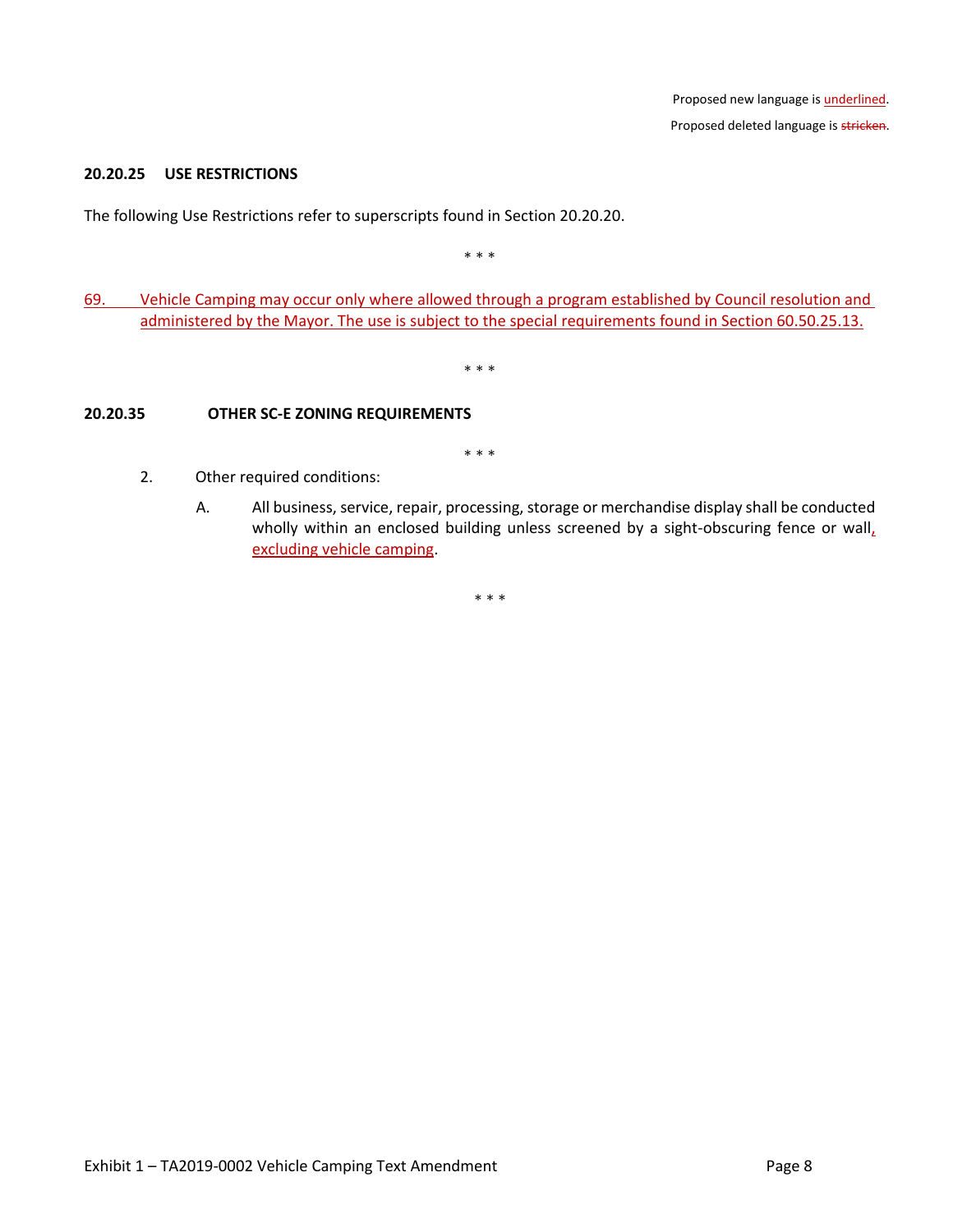### **20.20.25 USE RESTRICTIONS**

The following Use Restrictions refer to superscripts found in Section 20.20.20.

\* \* \*

69. Vehicle Camping may occur only where allowed through a program established by Council resolution and administered by the Mayor. The use is subject to the special requirements found in Section 60.50.25.13.

\* \* \*

## **20.20.35 OTHER SC-E ZONING REQUIREMENTS**

\* \* \*

- 2. Other required conditions:
	- A. All business, service, repair, processing, storage or merchandise display shall be conducted wholly within an enclosed building unless screened by a sight-obscuring fence or wall, excluding vehicle camping.